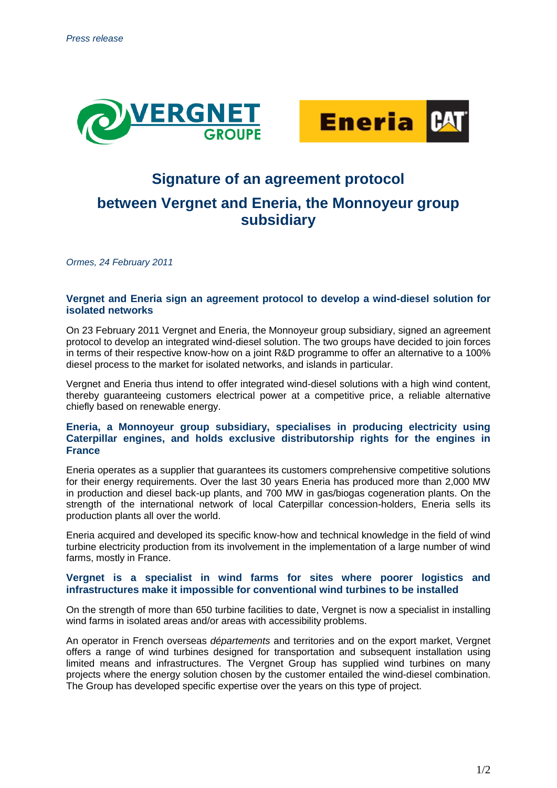



# **Signature of an agreement protocol**

# **between Vergnet and Eneria, the Monnoyeur group subsidiary**

*Ormes, 24 February 2011*

## **Vergnet and Eneria sign an agreement protocol to develop a wind-diesel solution for isolated networks**

On 23 February 2011 Vergnet and Eneria, the Monnoyeur group subsidiary, signed an agreement protocol to develop an integrated wind-diesel solution. The two groups have decided to join forces in terms of their respective know-how on a joint R&D programme to offer an alternative to a 100% diesel process to the market for isolated networks, and islands in particular.

Vergnet and Eneria thus intend to offer integrated wind-diesel solutions with a high wind content, thereby guaranteeing customers electrical power at a competitive price, a reliable alternative chiefly based on renewable energy.

# **Eneria, a Monnoyeur group subsidiary, specialises in producing electricity using Caterpillar engines, and holds exclusive distributorship rights for the engines in France**

Eneria operates as a supplier that guarantees its customers comprehensive competitive solutions for their energy requirements. Over the last 30 years Eneria has produced more than 2,000 MW in production and diesel back-up plants, and 700 MW in gas/biogas cogeneration plants. On the strength of the international network of local Caterpillar concession-holders, Eneria sells its production plants all over the world.

Eneria acquired and developed its specific know-how and technical knowledge in the field of wind turbine electricity production from its involvement in the implementation of a large number of wind farms, mostly in France.

## **Vergnet is a specialist in wind farms for sites where poorer logistics and infrastructures make it impossible for conventional wind turbines to be installed**

On the strength of more than 650 turbine facilities to date, Vergnet is now a specialist in installing wind farms in isolated areas and/or areas with accessibility problems.

An operator in French overseas *départements* and territories and on the export market, Vergnet offers a range of wind turbines designed for transportation and subsequent installation using limited means and infrastructures. The Vergnet Group has supplied wind turbines on many projects where the energy solution chosen by the customer entailed the wind-diesel combination. The Group has developed specific expertise over the years on this type of project.